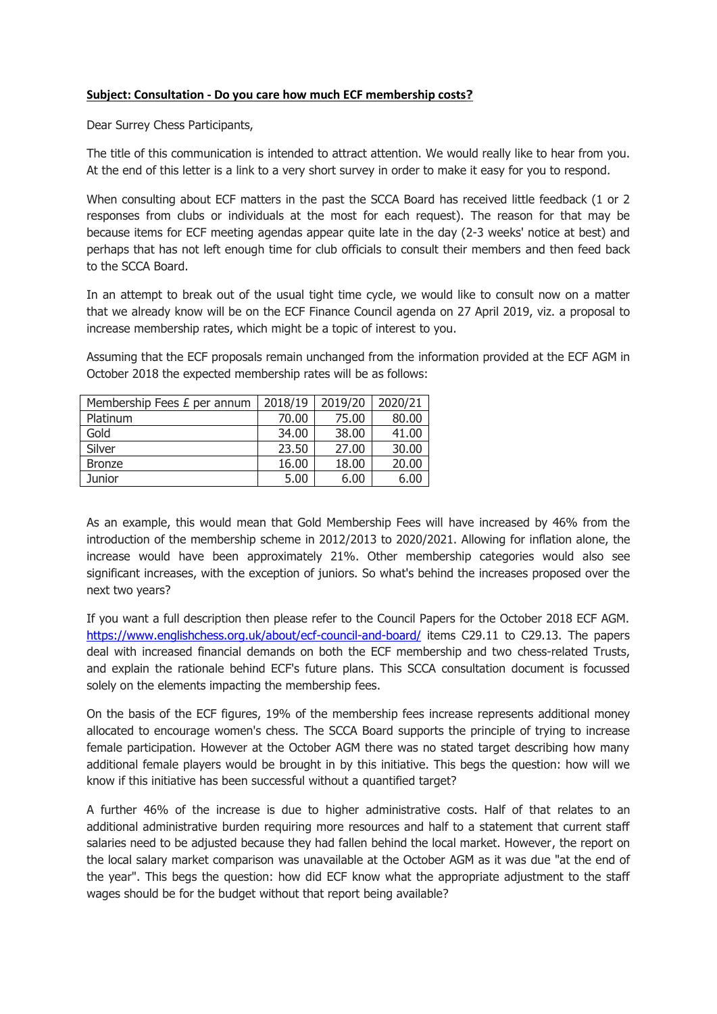## **Subject: Consultation - Do you care how much ECF membership costs?**

Dear Surrey Chess Participants,

The title of this communication is intended to attract attention. We would really like to hear from you. At the end of this letter is a link to a very short survey in order to make it easy for you to respond.

When consulting about ECF matters in the past the SCCA Board has received little feedback (1 or 2 responses from clubs or individuals at the most for each request). The reason for that may be because items for ECF meeting agendas appear quite late in the day (2-3 weeks' notice at best) and perhaps that has not left enough time for club officials to consult their members and then feed back to the SCCA Board.

In an attempt to break out of the usual tight time cycle, we would like to consult now on a matter that we already know will be on the ECF Finance Council agenda on 27 April 2019, viz. a proposal to increase membership rates, which might be a topic of interest to you.

Assuming that the ECF proposals remain unchanged from the information provided at the ECF AGM in October 2018 the expected membership rates will be as follows:

| Membership Fees £ per annum | 2018/19 | 2019/20 | 2020/21 |
|-----------------------------|---------|---------|---------|
| Platinum                    | 70.00   | 75.00   | 80.00   |
| Gold                        | 34.00   | 38.00   | 41.00   |
| Silver                      | 23.50   | 27.00   | 30.00   |
| <b>Bronze</b>               | 16.00   | 18.00   | 20.00   |
| Junior                      | 5.00    | 6.00    | 6.00    |

As an example, this would mean that Gold Membership Fees will have increased by 46% from the introduction of the membership scheme in 2012/2013 to 2020/2021. Allowing for inflation alone, the increase would have been approximately 21%. Other membership categories would also see significant increases, with the exception of juniors. So what's behind the increases proposed over the next two years?

If you want a full description then please refer to the Council Papers for the October 2018 ECF AGM. <https://www.englishchess.org.uk/about/ecf-council-and-board/> items C29.11 to C29.13. The papers deal with increased financial demands on both the ECF membership and two chess-related Trusts, and explain the rationale behind ECF's future plans. This SCCA consultation document is focussed solely on the elements impacting the membership fees.

On the basis of the ECF figures, 19% of the membership fees increase represents additional money allocated to encourage women's chess. The SCCA Board supports the principle of trying to increase female participation. However at the October AGM there was no stated target describing how many additional female players would be brought in by this initiative. This begs the question: how will we know if this initiative has been successful without a quantified target?

A further 46% of the increase is due to higher administrative costs. Half of that relates to an additional administrative burden requiring more resources and half to a statement that current staff salaries need to be adjusted because they had fallen behind the local market. However, the report on the local salary market comparison was unavailable at the October AGM as it was due "at the end of the year". This begs the question: how did ECF know what the appropriate adjustment to the staff wages should be for the budget without that report being available?